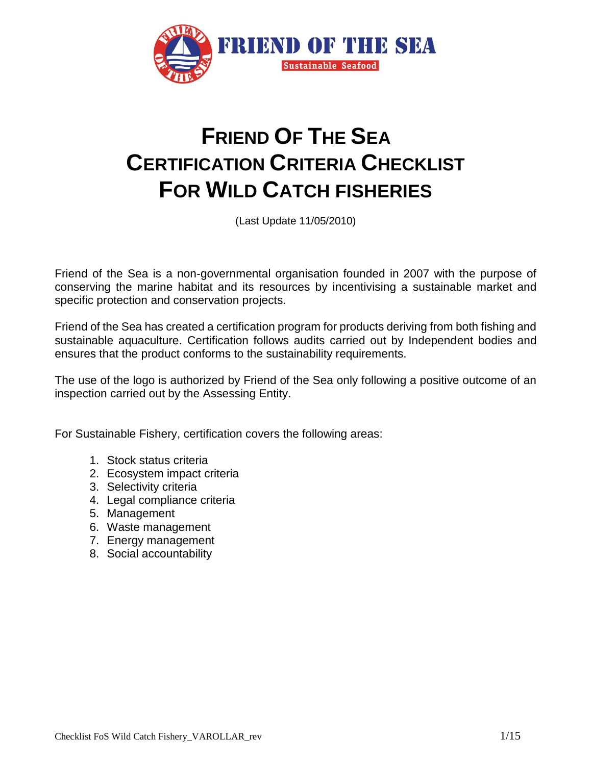

# **FRIEND OF THE SEA CERTIFICATION CRITERIA CHECKLIST FOR WILD CATCH FISHERIES**

(Last Update 11/05/2010)

Friend of the Sea is a non-governmental organisation founded in 2007 with the purpose of conserving the marine habitat and its resources by incentivising a sustainable market and specific protection and conservation projects.

Friend of the Sea has created a certification program for products deriving from both fishing and sustainable aquaculture. Certification follows audits carried out by Independent bodies and ensures that the product conforms to the sustainability requirements.

The use of the logo is authorized by Friend of the Sea only following a positive outcome of an inspection carried out by the Assessing Entity.

For Sustainable Fishery, certification covers the following areas:

- 1. Stock status criteria
- 2. Ecosystem impact criteria
- 3. Selectivity criteria
- 4. Legal compliance criteria
- 5. Management
- 6. Waste management
- 7. Energy management
- 8. Social accountability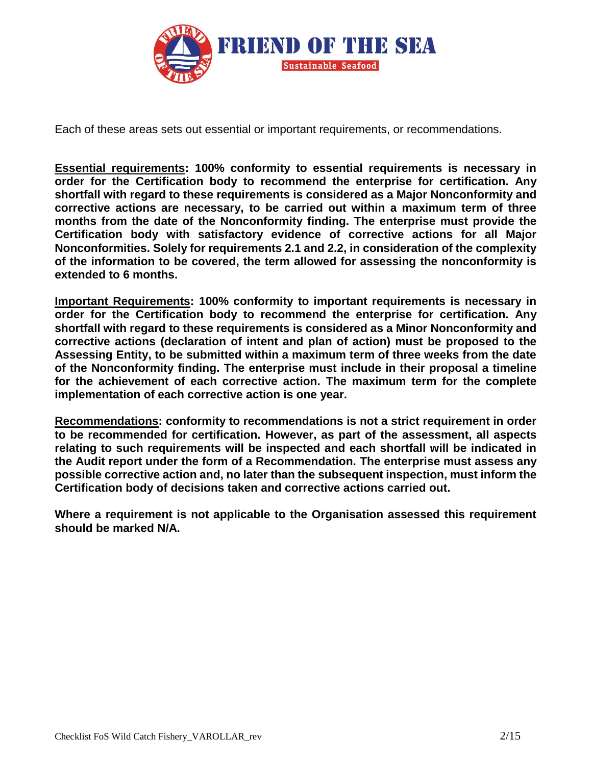

Each of these areas sets out essential or important requirements, or recommendations.

**Essential requirements: 100% conformity to essential requirements is necessary in order for the Certification body to recommend the enterprise for certification. Any shortfall with regard to these requirements is considered as a Major Nonconformity and corrective actions are necessary, to be carried out within a maximum term of three months from the date of the Nonconformity finding. The enterprise must provide the Certification body with satisfactory evidence of corrective actions for all Major Nonconformities. Solely for requirements 2.1 and 2.2, in consideration of the complexity of the information to be covered, the term allowed for assessing the nonconformity is extended to 6 months.**

**Important Requirements: 100% conformity to important requirements is necessary in order for the Certification body to recommend the enterprise for certification. Any shortfall with regard to these requirements is considered as a Minor Nonconformity and corrective actions (declaration of intent and plan of action) must be proposed to the Assessing Entity, to be submitted within a maximum term of three weeks from the date of the Nonconformity finding. The enterprise must include in their proposal a timeline for the achievement of each corrective action. The maximum term for the complete implementation of each corrective action is one year.**

**Recommendations: conformity to recommendations is not a strict requirement in order to be recommended for certification. However, as part of the assessment, all aspects relating to such requirements will be inspected and each shortfall will be indicated in the Audit report under the form of a Recommendation. The enterprise must assess any possible corrective action and, no later than the subsequent inspection, must inform the Certification body of decisions taken and corrective actions carried out.**

**Where a requirement is not applicable to the Organisation assessed this requirement should be marked N/A.**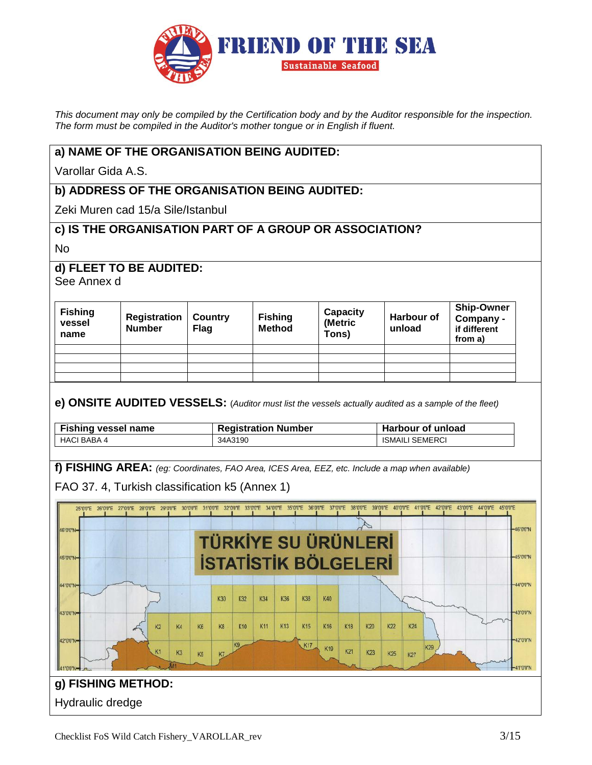

*This document may only be compiled by the Certification body and by the Auditor responsible for the inspection. The form must be compiled in the Auditor's mother tongue or in English if fluent.*

#### **a) NAME OF THE ORGANISATION BEING AUDITED:**

Varollar Gida A.S.

# **b) ADDRESS OF THE ORGANISATION BEING AUDITED:**

Zeki Muren cad 15/a Sile/Istanbul

#### **c) IS THE ORGANISATION PART OF A GROUP OR ASSOCIATION?**

No

#### **d) FLEET TO BE AUDITED:**

See Annex d

| <b>Fishing</b><br>vessel<br>name | Registration<br><b>Number</b> | Country<br><b>Flag</b> | <b>Fishing</b><br><b>Method</b> | Capacity<br>(Metric<br>Tons) | <b>Harbour of</b><br>unload | <b>Ship-Owner</b><br>Company -<br>if different<br>from a) |
|----------------------------------|-------------------------------|------------------------|---------------------------------|------------------------------|-----------------------------|-----------------------------------------------------------|
|                                  |                               |                        |                                 |                              |                             |                                                           |
|                                  |                               |                        |                                 |                              |                             |                                                           |
|                                  |                               |                        |                                 |                              |                             |                                                           |
|                                  |                               |                        |                                 |                              |                             |                                                           |

#### **e) ONSITE AUDITED VESSELS:** (*Auditor must list the vessels actually audited as a sample of the fleet)*

| <b>Fishing vessel name</b> | <b>Registration Number</b> | <b>Harbour of unload</b> |
|----------------------------|----------------------------|--------------------------|
| HACI BABA 4                | 34A3190                    | <b>ISMAILI SEMERCI</b>   |

**f) FISHING AREA:** *(eg: Coordinates, FAO Area, ICES Area, EEZ, etc. Include a map when available)*

FAO 37. 4, Turkish classification k5 (Annex 1)

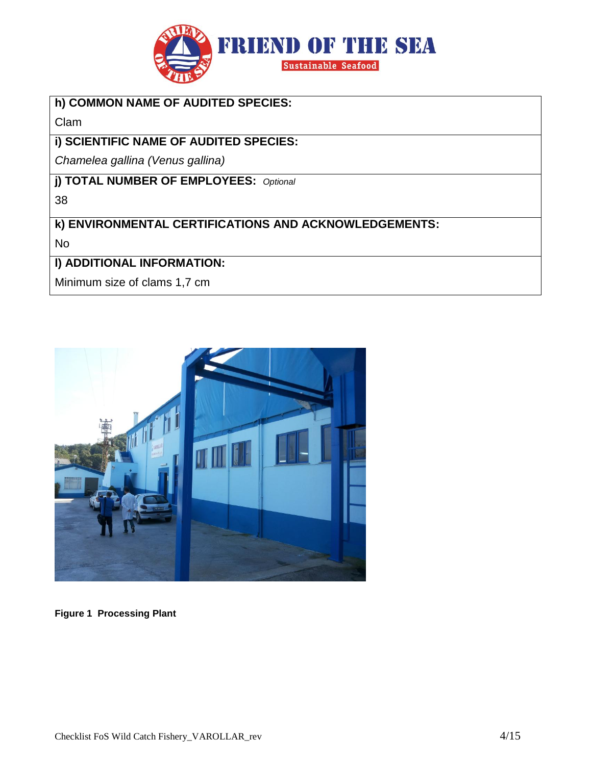

# **h) COMMON NAME OF AUDITED SPECIES:**

Clam

# **i) SCIENTIFIC NAME OF AUDITED SPECIES:**

*Chamelea gallina (Venus gallina)*

**j) TOTAL NUMBER OF EMPLOYEES:** *Optional*

38

**k) ENVIRONMENTAL CERTIFICATIONS AND ACKNOWLEDGEMENTS:**

No

# **l) ADDITIONAL INFORMATION:**

Minimum size of clams 1,7 cm



**Figure 1 Processing Plant**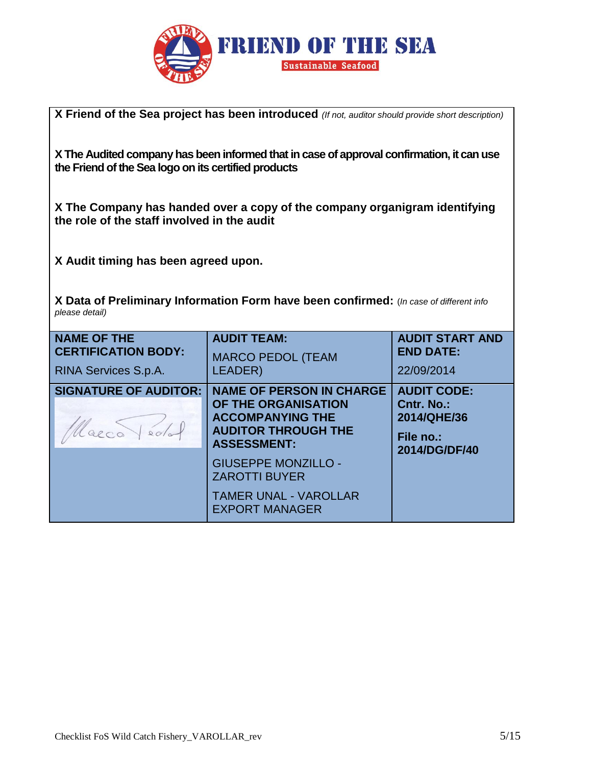

**X Friend of the Sea project has been introduced** *(If not, auditor should provide short description)*

**XThe Audited company has been informed that in case of approval confirmation, it can use the Friend of the Sea logo on its certified products**

**X The Company has handed over a copy of the company organigram identifying the role of the staff involved in the audit** 

**X Audit timing has been agreed upon.** 

**X Data of Preliminary Information Form have been confirmed:** (*In case of different info please detail)*

| <b>NAME OF THE</b><br><b>CERTIFICATION BODY:</b><br>RINA Services S.p.A. | <b>AUDIT TEAM:</b><br><b>MARCO PEDOL (TEAM</b><br>LEADER)                                                                                                                                                                                            | <b>AUDIT START AND</b><br><b>END DATE:</b><br>22/09/2014                      |
|--------------------------------------------------------------------------|------------------------------------------------------------------------------------------------------------------------------------------------------------------------------------------------------------------------------------------------------|-------------------------------------------------------------------------------|
| <b>SIGNATURE OF AUDITOR:</b>                                             | <b>NAME OF PERSON IN CHARGE</b><br>OF THE ORGANISATION<br><b>ACCOMPANYING THE</b><br><b>AUDITOR THROUGH THE</b><br><b>ASSESSMENT:</b><br><b>GIUSEPPE MONZILLO -</b><br><b>ZAROTTI BUYER</b><br><b>TAMER UNAL - VAROLLAR</b><br><b>EXPORT MANAGER</b> | <b>AUDIT CODE:</b><br>Cntr. No.:<br>2014/QHE/36<br>File no.:<br>2014/DG/DF/40 |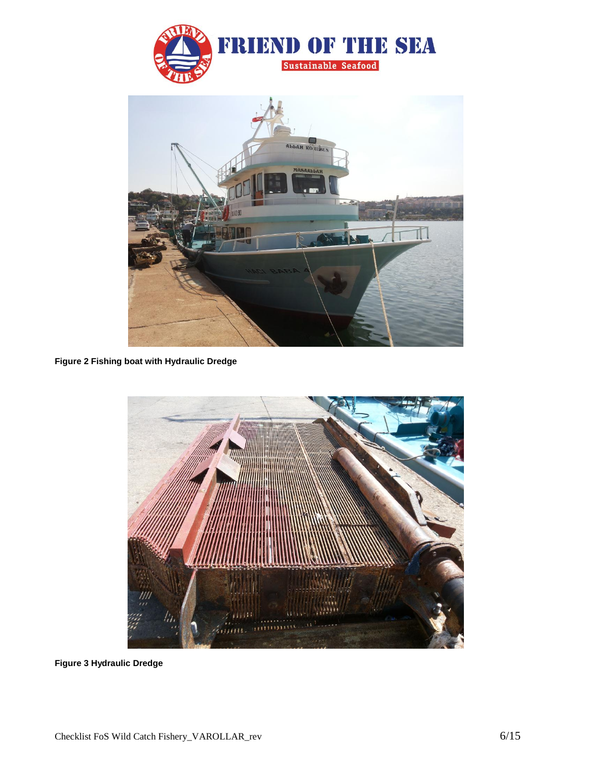



**Figure 2 Fishing boat with Hydraulic Dredge**



**Figure 3 Hydraulic Dredge**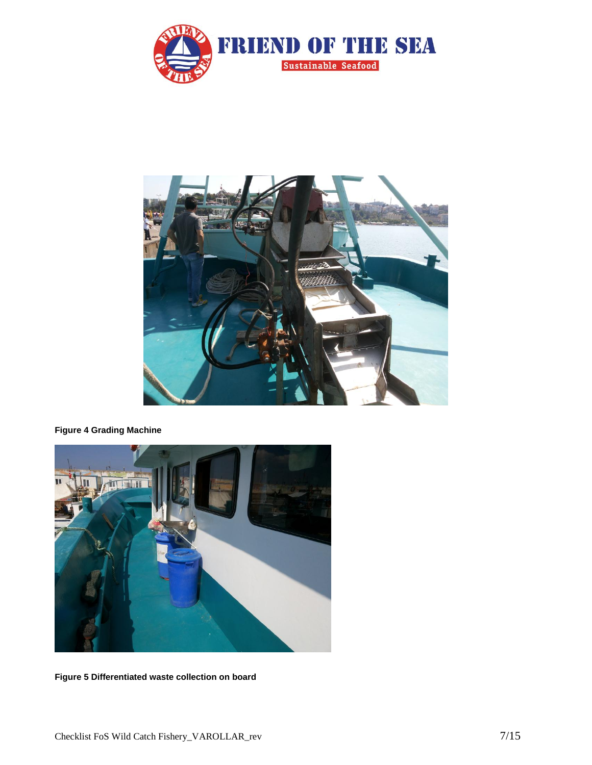



**Figure 4 Grading Machine**



**Figure 5 Differentiated waste collection on board**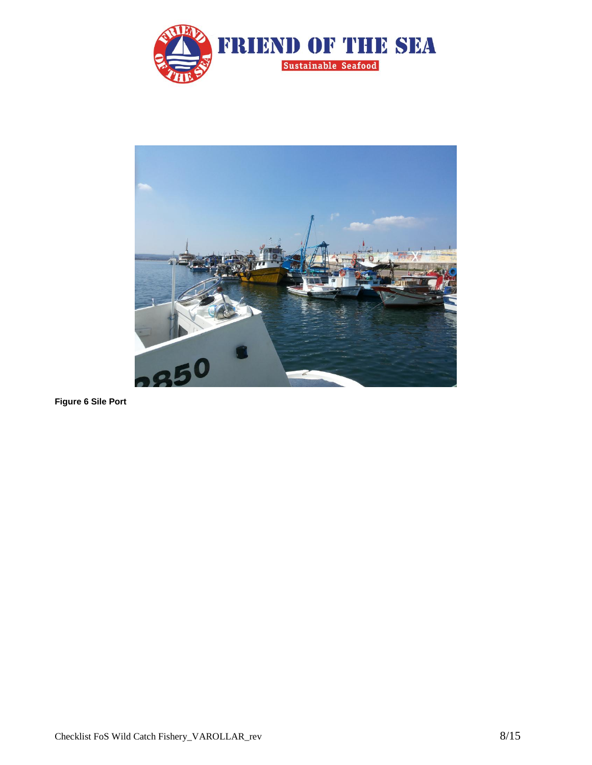



**Figure 6 Sile Port**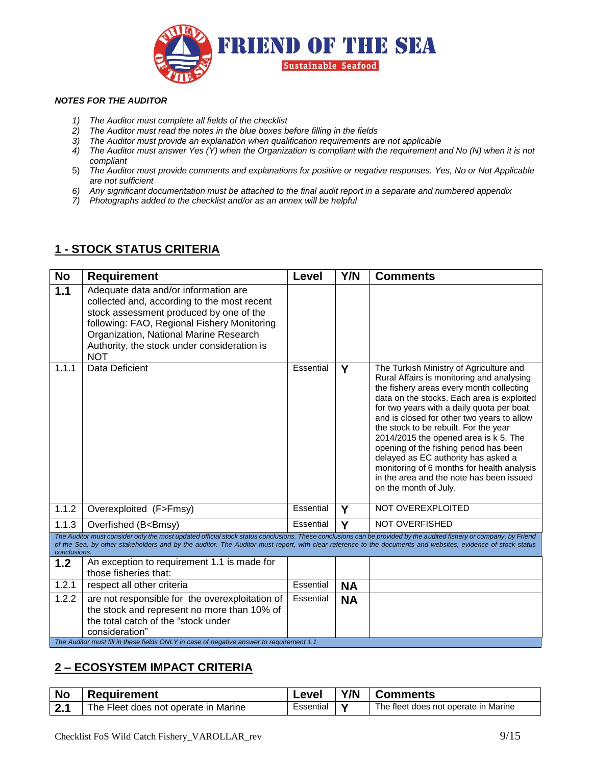

#### *NOTES FOR THE AUDITOR*

- *1) The Auditor must complete all fields of the checklist*
- *2) The Auditor must read the notes in the blue boxes before filling in the fields*
- *3) The Auditor must provide an explanation when qualification requirements are not applicable*
- *4) The Auditor must answer Yes (Y) when the Organization is compliant with the requirement and No (N) when it is not compliant*
- 5) *The Auditor must provide comments and explanations for positive or negative responses. Yes, No or Not Applicable are not sufficient*
- *6) Any significant documentation must be attached to the final audit report in a separate and numbered appendix*
- *7) Photographs added to the checklist and/or as an annex will be helpful*

#### **1 - STOCK STATUS CRITERIA**

| <b>No</b>          | <b>Requirement</b>                                                                                                                                                                                                                                                                                                               | Level     | Y/N       | <b>Comments</b>                                                                                                                                                                                                                                                                                                                                                                                                                                                                                                                                                 |
|--------------------|----------------------------------------------------------------------------------------------------------------------------------------------------------------------------------------------------------------------------------------------------------------------------------------------------------------------------------|-----------|-----------|-----------------------------------------------------------------------------------------------------------------------------------------------------------------------------------------------------------------------------------------------------------------------------------------------------------------------------------------------------------------------------------------------------------------------------------------------------------------------------------------------------------------------------------------------------------------|
| 1.1                | Adequate data and/or information are<br>collected and, according to the most recent<br>stock assessment produced by one of the<br>following: FAO, Regional Fishery Monitoring<br>Organization, National Marine Research<br>Authority, the stock under consideration is<br><b>NOT</b>                                             |           |           |                                                                                                                                                                                                                                                                                                                                                                                                                                                                                                                                                                 |
| 1.1.1              | Data Deficient                                                                                                                                                                                                                                                                                                                   | Essential | Y         | The Turkish Ministry of Agriculture and<br>Rural Affairs is monitoring and analysing<br>the fishery areas every month collecting<br>data on the stocks. Each area is exploited<br>for two years with a daily quota per boat<br>and is closed for other two years to allow<br>the stock to be rebuilt. For the year<br>2014/2015 the opened area is k 5. The<br>opening of the fishing period has been<br>delayed as EC authority has asked a<br>monitoring of 6 months for health analysis<br>in the area and the note has been issued<br>on the month of July. |
| $\overline{1}.1.2$ | Overexploited (F>Fmsy)                                                                                                                                                                                                                                                                                                           | Essential | Y         | NOT OVEREXPLOITED                                                                                                                                                                                                                                                                                                                                                                                                                                                                                                                                               |
| 1.1.3              | Overfished (B <bmsy)< td=""><td>Essential</td><td>Y</td><td>NOT OVERFISHED</td></bmsy)<>                                                                                                                                                                                                                                         | Essential | Y         | NOT OVERFISHED                                                                                                                                                                                                                                                                                                                                                                                                                                                                                                                                                  |
| conclusions.       | The Auditor must consider only the most updated official stock status conclusions. These conclusions can be provided by the audited fishery or company, by Friend<br>of the Sea, by other stakeholders and by the auditor. The Auditor must report, with clear reference to the documents and websites, evidence of stock status |           |           |                                                                                                                                                                                                                                                                                                                                                                                                                                                                                                                                                                 |
| 1.2                | An exception to requirement 1.1 is made for<br>those fisheries that:                                                                                                                                                                                                                                                             |           |           |                                                                                                                                                                                                                                                                                                                                                                                                                                                                                                                                                                 |
| 1.2.1              | respect all other criteria                                                                                                                                                                                                                                                                                                       | Essential | <b>NA</b> |                                                                                                                                                                                                                                                                                                                                                                                                                                                                                                                                                                 |
| 1.2.2              | are not responsible for the overexploitation of<br>the stock and represent no more than 10% of<br>the total catch of the "stock under<br>consideration"<br>The Auditor must fill in these fields ONLY in case of negative answer to requirement 1.1                                                                              | Essential | <b>NA</b> |                                                                                                                                                                                                                                                                                                                                                                                                                                                                                                                                                                 |
|                    |                                                                                                                                                                                                                                                                                                                                  |           |           |                                                                                                                                                                                                                                                                                                                                                                                                                                                                                                                                                                 |

#### **2 – ECOSYSTEM IMPACT CRITERIA**

| <b>No</b> | <b>Requirement</b>                   | .evel     | Y/N | <b>Comments</b>                      |
|-----------|--------------------------------------|-----------|-----|--------------------------------------|
| . ኅ       | The Fleet does not operate in Marine | ∟ssential |     | The fleet does not operate in Marine |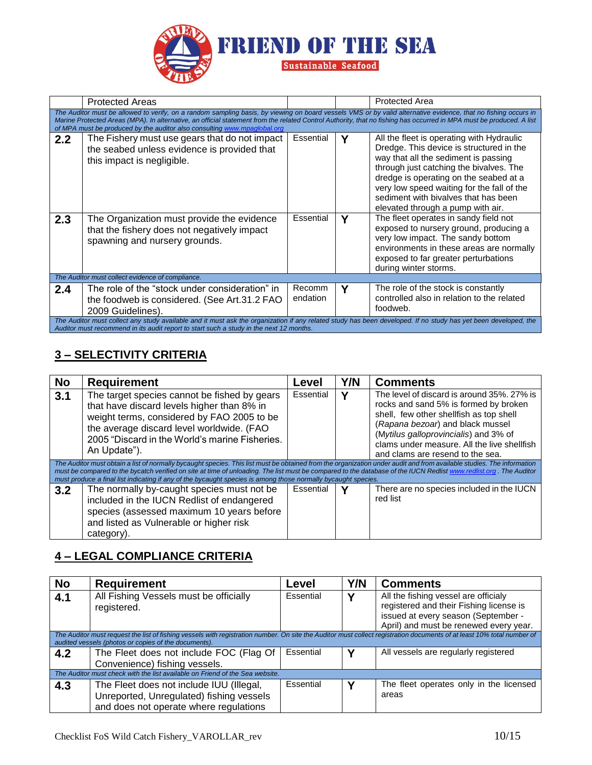

|     | <b>Protected Areas</b>                                                                                                                                                                                                                                                                                                                                                                                             |                    |   | <b>Protected Area</b>                                                                                                                                                                                                                                                                                                                         |  |  |  |
|-----|--------------------------------------------------------------------------------------------------------------------------------------------------------------------------------------------------------------------------------------------------------------------------------------------------------------------------------------------------------------------------------------------------------------------|--------------------|---|-----------------------------------------------------------------------------------------------------------------------------------------------------------------------------------------------------------------------------------------------------------------------------------------------------------------------------------------------|--|--|--|
|     | The Auditor must be allowed to verify, on a random sampling basis, by viewing on board vessels VMS or by valid alternative evidence, that no fishing occurs in<br>Marine Protected Areas (MPA). In alternative, an official statement from the related Control Authority, that no fishing has occurred in MPA must be produced. A list<br>of MPA must be produced by the auditor also consulting www.mpaglobal.org |                    |   |                                                                                                                                                                                                                                                                                                                                               |  |  |  |
| 2.2 | The Fishery must use gears that do not impact<br>the seabed unless evidence is provided that<br>this impact is negligible.                                                                                                                                                                                                                                                                                         | Essential          | γ | All the fleet is operating with Hydraulic<br>Dredge. This device is structured in the<br>way that all the sediment is passing<br>through just catching the bivalves. The<br>dredge is operating on the seabed at a<br>very low speed waiting for the fall of the<br>sediment with bivalves that has been<br>elevated through a pump with air. |  |  |  |
| 2.3 | The Organization must provide the evidence<br>that the fishery does not negatively impact<br>spawning and nursery grounds.                                                                                                                                                                                                                                                                                         | Essential          | γ | The fleet operates in sandy field not<br>exposed to nursery ground, producing a<br>very low impact. The sandy bottom<br>environments in these areas are normally<br>exposed to far greater perturbations<br>during winter storms.                                                                                                             |  |  |  |
|     | The Auditor must collect evidence of compliance.                                                                                                                                                                                                                                                                                                                                                                   |                    |   |                                                                                                                                                                                                                                                                                                                                               |  |  |  |
| 2.4 | The role of the "stock under consideration" in<br>the foodweb is considered. (See Art.31.2 FAO<br>2009 Guidelines).                                                                                                                                                                                                                                                                                                | Recomm<br>endation | Υ | The role of the stock is constantly<br>controlled also in relation to the related<br>foodweb.                                                                                                                                                                                                                                                 |  |  |  |
|     | The Auditor must collect any study available and it must ask the organization if any related study has been developed. If no study has yet been developed, the<br>Auditor must recommend in its audit report to start such a study in the next 12 months.                                                                                                                                                          |                    |   |                                                                                                                                                                                                                                                                                                                                               |  |  |  |

# **3 – SELECTIVITY CRITERIA**

| <b>No</b> | <b>Requirement</b>                                                                                                                                                                                                                                                                                                                                                                                                               | Level          | Y/N | <b>Comments</b>                                                                                                                                                                                                                                                                                |  |
|-----------|----------------------------------------------------------------------------------------------------------------------------------------------------------------------------------------------------------------------------------------------------------------------------------------------------------------------------------------------------------------------------------------------------------------------------------|----------------|-----|------------------------------------------------------------------------------------------------------------------------------------------------------------------------------------------------------------------------------------------------------------------------------------------------|--|
| 3.1       | The target species cannot be fished by gears<br>that have discard levels higher than 8% in<br>weight terms, considered by FAO 2005 to be<br>the average discard level worldwide. (FAO<br>2005 "Discard in the World's marine Fisheries.<br>An Update").<br>The Auditor must obtain a list of normally bycaught species. This list must be obtained from the organization under audit and from available studies. The information | Essential<br>v |     | The level of discard is around 35%, 27% is<br>rocks and sand 5% is formed by broken<br>shell, few other shellfish as top shell<br>(Rapana bezoar) and black mussel<br>(Mytilus galloprovincialis) and 3% of<br>clams under measure. All the live shellfish<br>and clams are resend to the sea. |  |
|           | must be compared to the bycatch verified on site at time of unloading. The list must be compared to the database of the IUCN Redlist www.redlist.org. The Auditor<br>must produce a final list indicating if any of the bycaught species is among those normally bycaught species.                                                                                                                                               |                |     |                                                                                                                                                                                                                                                                                                |  |
| 3.2       | The normally by-caught species must not be<br>included in the IUCN Redlist of endangered<br>species (assessed maximum 10 years before<br>and listed as Vulnerable or higher risk<br>category).                                                                                                                                                                                                                                   | Essential      |     | There are no species included in the IUCN<br>red list                                                                                                                                                                                                                                          |  |

## **4 – LEGAL COMPLIANCE CRITERIA**

| <b>No</b> | <b>Requirement</b>                                                                                                                                                                                                             | Level     | Y/N | <b>Comments</b>                                                                                                                                                  |
|-----------|--------------------------------------------------------------------------------------------------------------------------------------------------------------------------------------------------------------------------------|-----------|-----|------------------------------------------------------------------------------------------------------------------------------------------------------------------|
| 4.1       | All Fishing Vessels must be officially<br>registered.                                                                                                                                                                          | Essential |     | All the fishing vessel are officialy<br>registered and their Fishing license is<br>issued at every season (September -<br>April) and must be renewed every year. |
|           | The Auditor must request the list of fishing vessels with registration number. On site the Auditor must collect registration documents of at least 10% total number of<br>audited vessels (photos or copies of the documents). |           |     |                                                                                                                                                                  |
| 4.2       | The Fleet does not include FOC (Flag Of<br>Convenience) fishing vessels.                                                                                                                                                       | Essential | ν   | All vessels are regularly registered                                                                                                                             |
|           | The Auditor must check with the list available on Friend of the Sea website.                                                                                                                                                   |           |     |                                                                                                                                                                  |
| 4.3       | The Fleet does not include IUU (Illegal,<br>Unreported, Unregulated) fishing vessels<br>and does not operate where regulations                                                                                                 | Essential | ν   | The fleet operates only in the licensed<br>areas                                                                                                                 |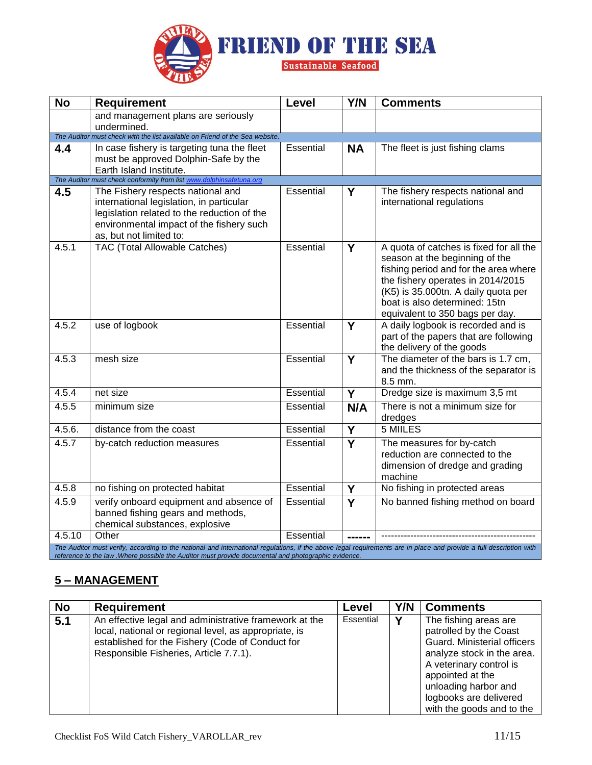

| <b>No</b> | <b>Requirement</b>                                                                                                                                                                                                                                                        | Level            | Y/N            | <b>Comments</b>                                                                                                                                                                                                                                                    |
|-----------|---------------------------------------------------------------------------------------------------------------------------------------------------------------------------------------------------------------------------------------------------------------------------|------------------|----------------|--------------------------------------------------------------------------------------------------------------------------------------------------------------------------------------------------------------------------------------------------------------------|
|           | and management plans are seriously                                                                                                                                                                                                                                        |                  |                |                                                                                                                                                                                                                                                                    |
|           | undermined.<br>The Auditor must check with the list available on Friend of the Sea website.                                                                                                                                                                               |                  |                |                                                                                                                                                                                                                                                                    |
| 4.4       | In case fishery is targeting tuna the fleet                                                                                                                                                                                                                               | Essential        | <b>NA</b>      | The fleet is just fishing clams                                                                                                                                                                                                                                    |
|           | must be approved Dolphin-Safe by the                                                                                                                                                                                                                                      |                  |                |                                                                                                                                                                                                                                                                    |
|           | Earth Island Institute.                                                                                                                                                                                                                                                   |                  |                |                                                                                                                                                                                                                                                                    |
|           | The Auditor must check conformity from list www.dolphinsafetuna.org                                                                                                                                                                                                       |                  |                |                                                                                                                                                                                                                                                                    |
| 4.5       | The Fishery respects national and<br>international legislation, in particular<br>legislation related to the reduction of the<br>environmental impact of the fishery such<br>as, but not limited to:                                                                       | Essential        | Y              | The fishery respects national and<br>international regulations                                                                                                                                                                                                     |
| 4.5.1     | TAC (Total Allowable Catches)                                                                                                                                                                                                                                             | <b>Essential</b> | Y              | A quota of catches is fixed for all the<br>season at the beginning of the<br>fishing period and for the area where<br>the fishery operates in 2014/2015<br>(K5) is 35.000tn. A daily quota per<br>boat is also determined: 15tn<br>equivalent to 350 bags per day. |
| 4.5.2     | use of logbook                                                                                                                                                                                                                                                            | Essential        | Y              | A daily logbook is recorded and is<br>part of the papers that are following<br>the delivery of the goods                                                                                                                                                           |
| 4.5.3     | mesh size                                                                                                                                                                                                                                                                 | Essential        | Y              | The diameter of the bars is 1.7 cm,<br>and the thickness of the separator is<br>8.5 mm.                                                                                                                                                                            |
| 4.5.4     | net size                                                                                                                                                                                                                                                                  | Essential        | Y              | Dredge size is maximum 3,5 mt                                                                                                                                                                                                                                      |
| 4.5.5     | minimum size                                                                                                                                                                                                                                                              | <b>Essential</b> | N/A            | There is not a minimum size for<br>dredges                                                                                                                                                                                                                         |
| 4.5.6.    | distance from the coast                                                                                                                                                                                                                                                   | Essential        | Y              | 5 MIILES                                                                                                                                                                                                                                                           |
| 4.5.7     | by-catch reduction measures                                                                                                                                                                                                                                               | Essential        | $\overline{Y}$ | The measures for by-catch<br>reduction are connected to the<br>dimension of dredge and grading<br>machine                                                                                                                                                          |
| 4.5.8     | no fishing on protected habitat                                                                                                                                                                                                                                           | Essential        | Y              | No fishing in protected areas                                                                                                                                                                                                                                      |
| 4.5.9     | verify onboard equipment and absence of<br>banned fishing gears and methods,<br>chemical substances, explosive                                                                                                                                                            | Essential        | Y              | No banned fishing method on board                                                                                                                                                                                                                                  |
| 4.5.10    | Other                                                                                                                                                                                                                                                                     | Essential        |                |                                                                                                                                                                                                                                                                    |
|           | The Auditor must verify, according to the national and international regulations, if the above legal requirements are in place and provide a full description with<br>reference to the law. Where possible the Auditor must provide documental and photographic evidence. |                  |                |                                                                                                                                                                                                                                                                    |

# **5 – MANAGEMENT**

| <b>No</b> | <b>Requirement</b>                                                                                                                                                                                            | Level     | Y/N | <b>Comments</b>                                                                                                                                                                                                                            |
|-----------|---------------------------------------------------------------------------------------------------------------------------------------------------------------------------------------------------------------|-----------|-----|--------------------------------------------------------------------------------------------------------------------------------------------------------------------------------------------------------------------------------------------|
| 5.1       | An effective legal and administrative framework at the<br>local, national or regional level, as appropriate, is<br>established for the Fishery (Code of Conduct for<br>Responsible Fisheries, Article 7.7.1). | Essential | v   | The fishing areas are<br>patrolled by the Coast<br>Guard. Ministerial officers<br>analyze stock in the area.<br>A veterinary control is<br>appointed at the<br>unloading harbor and<br>logbooks are delivered<br>with the goods and to the |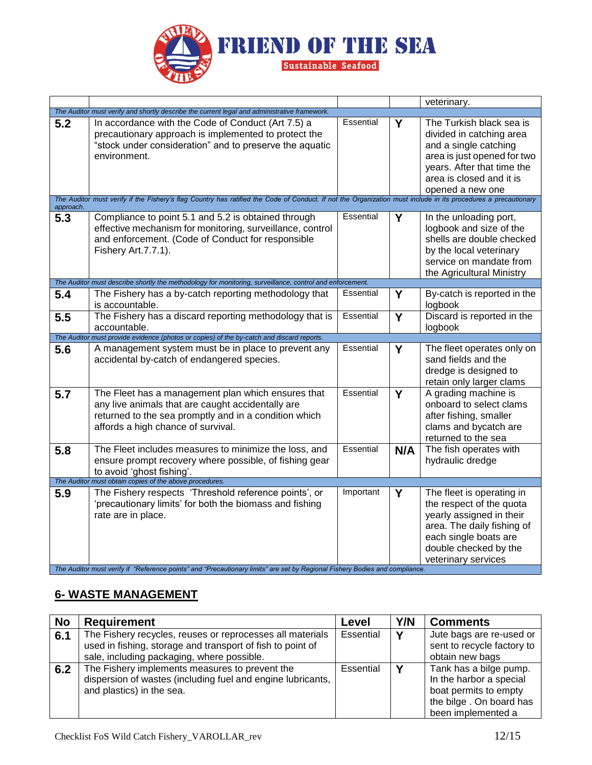

|           |                                                                                                                                                                                                                                                                       |           |                         | veterinary.                                                                                                                                                                                |
|-----------|-----------------------------------------------------------------------------------------------------------------------------------------------------------------------------------------------------------------------------------------------------------------------|-----------|-------------------------|--------------------------------------------------------------------------------------------------------------------------------------------------------------------------------------------|
|           | The Auditor must verify and shortly describe the current legal and administrative framework.                                                                                                                                                                          |           |                         |                                                                                                                                                                                            |
| 5.2       | In accordance with the Code of Conduct (Art 7.5) a<br>precautionary approach is implemented to protect the<br>"stock under consideration" and to preserve the aquatic<br>environment.                                                                                 | Essential | Υ                       | The Turkish black sea is<br>divided in catching area<br>and a single catching<br>area is just opened for two<br>years. After that time the<br>area is closed and it is<br>opened a new one |
| approach. | The Auditor must verify if the Fishery's flag Country has ratified the Code of Conduct. If not the Organization must include in its procedures a precautionary                                                                                                        |           |                         |                                                                                                                                                                                            |
| 5.3       | Compliance to point 5.1 and 5.2 is obtained through<br>effective mechanism for monitoring, surveillance, control<br>and enforcement. (Code of Conduct for responsible<br>Fishery Art.7.7.1).                                                                          | Essential | Y                       | In the unloading port,<br>logbook and size of the<br>shells are double checked<br>by the local veterinary<br>service on mandate from<br>the Agricultural Ministry                          |
|           | The Auditor must describe shortly the methodology for monitoring, surveillance, control and enforcement.                                                                                                                                                              |           |                         |                                                                                                                                                                                            |
| 5.4       | The Fishery has a by-catch reporting methodology that<br>is accountable.                                                                                                                                                                                              | Essential | Y                       | By-catch is reported in the<br>logbook                                                                                                                                                     |
| 5.5       | The Fishery has a discard reporting methodology that is<br>accountable.                                                                                                                                                                                               | Essential | $\overline{\mathsf{Y}}$ | Discard is reported in the<br>logbook                                                                                                                                                      |
|           | The Auditor must provide evidence (photos or copies) of the by-catch and discard reports.                                                                                                                                                                             |           |                         |                                                                                                                                                                                            |
| 5.6       | A management system must be in place to prevent any<br>accidental by-catch of endangered species.                                                                                                                                                                     | Essential | Y                       | The fleet operates only on<br>sand fields and the<br>dredge is designed to<br>retain only larger clams                                                                                     |
| 5.7       | The Fleet has a management plan which ensures that<br>any live animals that are caught accidentally are<br>returned to the sea promptly and in a condition which<br>affords a high chance of survival.                                                                | Essential | $\overline{\mathsf{Y}}$ | A grading machine is<br>onboard to select clams<br>after fishing, smaller<br>clams and bycatch are<br>returned to the sea                                                                  |
| 5.8       | The Fleet includes measures to minimize the loss, and<br>ensure prompt recovery where possible, of fishing gear<br>to avoid 'ghost fishing'.                                                                                                                          | Essential | N/A                     | The fish operates with<br>hydraulic dredge                                                                                                                                                 |
|           | The Auditor must obtain copies of the above procedures.                                                                                                                                                                                                               |           |                         |                                                                                                                                                                                            |
| 5.9       | The Fishery respects 'Threshold reference points', or<br>'precautionary limits' for both the biomass and fishing<br>rate are in place.<br>The Auditor must verify if "Reference points" and "Precautionary limits" are set by Regional Fishery Bodies and compliance. | Important | Y                       | The fleet is operating in<br>the respect of the quota<br>yearly assigned in their<br>area. The daily fishing of<br>each single boats are<br>double checked by the<br>veterinary services   |

# **6- WASTE MANAGEMENT**

| <b>No</b> | <b>Requirement</b>                                                                                                                                                    | Level     | Y/N | <b>Comments</b>                                                                                                             |
|-----------|-----------------------------------------------------------------------------------------------------------------------------------------------------------------------|-----------|-----|-----------------------------------------------------------------------------------------------------------------------------|
| 6.1       | The Fishery recycles, reuses or reprocesses all materials<br>used in fishing, storage and transport of fish to point of<br>sale, including packaging, where possible. | Essential |     | Jute bags are re-used or<br>sent to recycle factory to<br>obtain new bags                                                   |
| 6.2       | The Fishery implements measures to prevent the<br>dispersion of wastes (including fuel and engine lubricants,<br>and plastics) in the sea.                            | Essential |     | Tank has a bilge pump.<br>In the harbor a special<br>boat permits to empty<br>the bilge. On board has<br>been implemented a |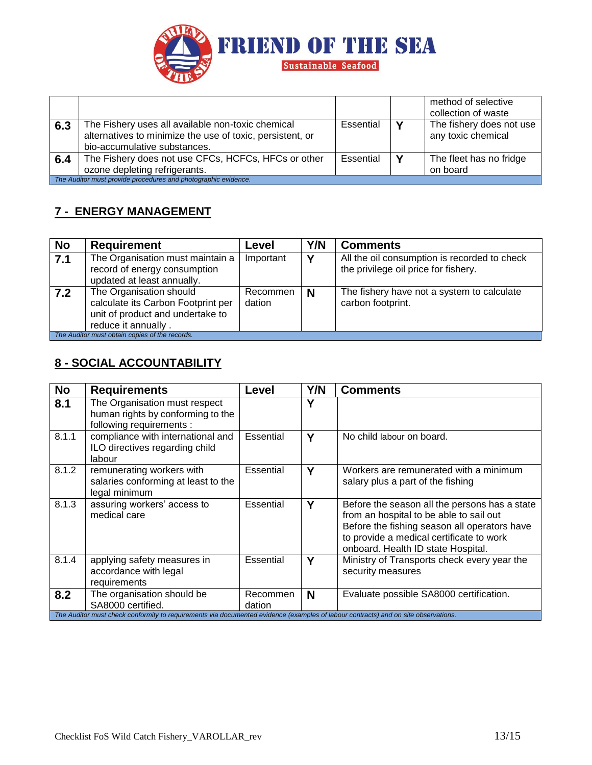

|                                                                |                                                                                                                |           |   | method of selective<br>collection of waste     |
|----------------------------------------------------------------|----------------------------------------------------------------------------------------------------------------|-----------|---|------------------------------------------------|
| 6.3                                                            | The Fishery uses all available non-toxic chemical<br>alternatives to minimize the use of toxic, persistent, or | Essential |   | The fishery does not use<br>any toxic chemical |
|                                                                | bio-accumulative substances.                                                                                   |           |   |                                                |
| 6.4                                                            | The Fishery does not use CFCs, HCFCs, HFCs or other                                                            | Essential | v | The fleet has no fridge                        |
|                                                                | ozone depleting refrigerants.                                                                                  |           |   | on board                                       |
| The Auditor must provide procedures and photographic evidence. |                                                                                                                |           |   |                                                |

## **7 - ENERGY MANAGEMENT**

| <b>No</b>                                      | <b>Requirement</b>                                                                                                       | Level              | Y/N | <b>Comments</b>                                                                      |  |
|------------------------------------------------|--------------------------------------------------------------------------------------------------------------------------|--------------------|-----|--------------------------------------------------------------------------------------|--|
| 7.1                                            | The Organisation must maintain a<br>record of energy consumption<br>updated at least annually.                           | Important          | v   | All the oil consumption is recorded to check<br>the privilege oil price for fishery. |  |
| 7.2                                            | The Organisation should<br>calculate its Carbon Footprint per<br>unit of product and undertake to<br>reduce it annually. | Recommen<br>dation | N   | The fishery have not a system to calculate<br>carbon footprint.                      |  |
| The Auditor must obtain copies of the records. |                                                                                                                          |                    |     |                                                                                      |  |

# **8 - SOCIAL ACCOUNTABILITY**

| <b>No</b>                                                                                                                          | <b>Requirements</b>                                                                            | Level              | Y/N | <b>Comments</b>                                                                                                                                                                                                            |  |
|------------------------------------------------------------------------------------------------------------------------------------|------------------------------------------------------------------------------------------------|--------------------|-----|----------------------------------------------------------------------------------------------------------------------------------------------------------------------------------------------------------------------------|--|
| 8.1                                                                                                                                | The Organisation must respect<br>human rights by conforming to the<br>following requirements : |                    | Υ   |                                                                                                                                                                                                                            |  |
| 8.1.1                                                                                                                              | compliance with international and<br>ILO directives regarding child<br>labour                  | Essential          | Υ   | No child labour on board.                                                                                                                                                                                                  |  |
| 8.1.2                                                                                                                              | remunerating workers with<br>salaries conforming at least to the<br>legal minimum              | Essential          | Υ   | Workers are remunerated with a minimum<br>salary plus a part of the fishing                                                                                                                                                |  |
| 8.1.3                                                                                                                              | assuring workers' access to<br>medical care                                                    | Essential          | Y   | Before the season all the persons has a state<br>from an hospital to be able to sail out<br>Before the fishing season all operators have<br>to provide a medical certificate to work<br>onboard. Health ID state Hospital. |  |
| 8.1.4                                                                                                                              | applying safety measures in<br>accordance with legal<br>requirements                           | Essential          | Υ   | Ministry of Transports check every year the<br>security measures                                                                                                                                                           |  |
| 8.2                                                                                                                                | The organisation should be<br>SA8000 certified.                                                | Recommen<br>dation | N   | Evaluate possible SA8000 certification.                                                                                                                                                                                    |  |
| The Auditor must check conformity to requirements via documented evidence (examples of labour contracts) and on site observations. |                                                                                                |                    |     |                                                                                                                                                                                                                            |  |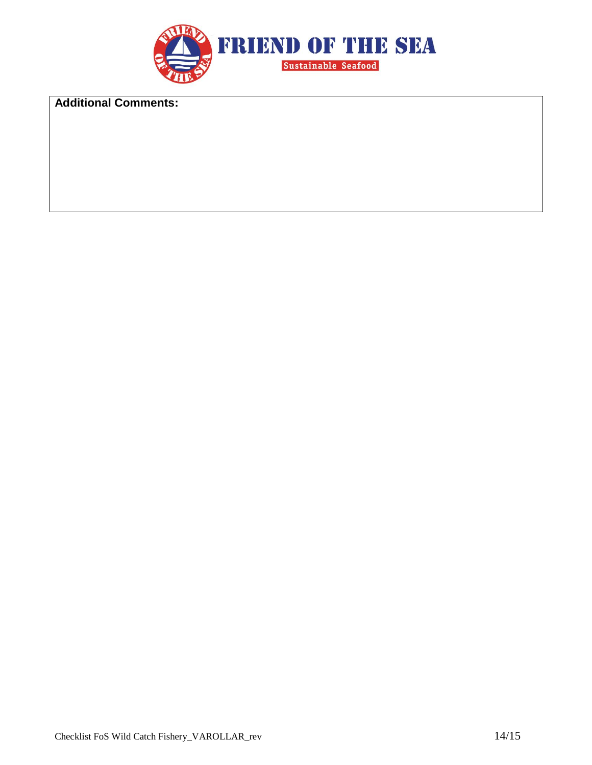

**Additional Comments:**